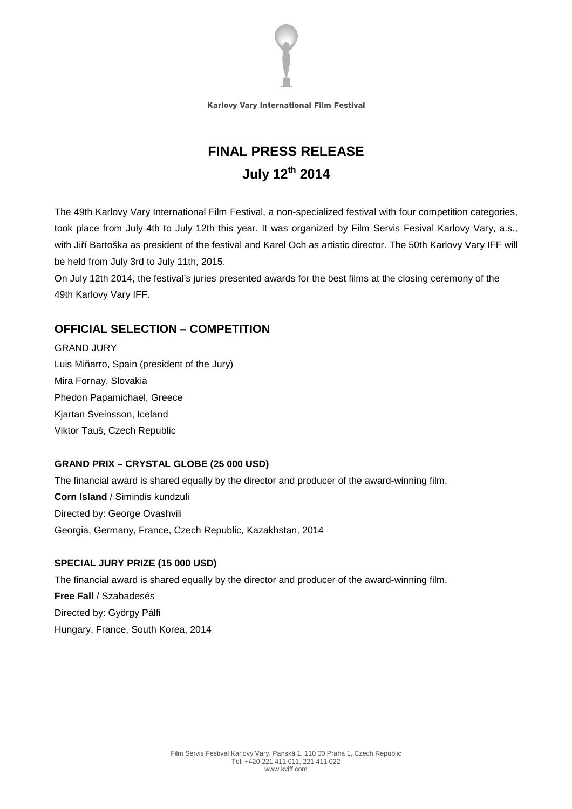

# **FINAL PRESS RELEASE July 12th 2014**

The 49th Karlovy Vary International Film Festival, a non-specialized festival with four competition categories, took place from July 4th to July 12th this year. It was organized by Film Servis Fesival Karlovy Vary, a.s., with Jiří Bartoška as president of the festival and Karel Och as artistic director. The 50th Karlovy Vary IFF will be held from July 3rd to July 11th, 2015.

On July 12th 2014, the festival's juries presented awards for the best films at the closing ceremony of the 49th Karlovy Vary IFF.

# **OFFICIAL SELECTION – COMPETITION**

GRAND JURY Luis Miñarro, Spain (president of the Jury) Mira Fornay, Slovakia Phedon Papamichael, Greece Kjartan Sveinsson, Iceland Viktor Tauš, Czech Republic

#### **GRAND PRIX – CRYSTAL GLOBE (25 000 USD)**

The financial award is shared equally by the director and producer of the award-winning film. **Corn Island** / Simindis kundzuli Directed by: George Ovashvili Georgia, Germany, France, Czech Republic, Kazakhstan, 2014

#### **SPECIAL JURY PRIZE (15 000 USD)**

The financial award is shared equally by the director and producer of the award-winning film. **Free Fall** / Szabadesés Directed by: György Pálfi Hungary, France, South Korea, 2014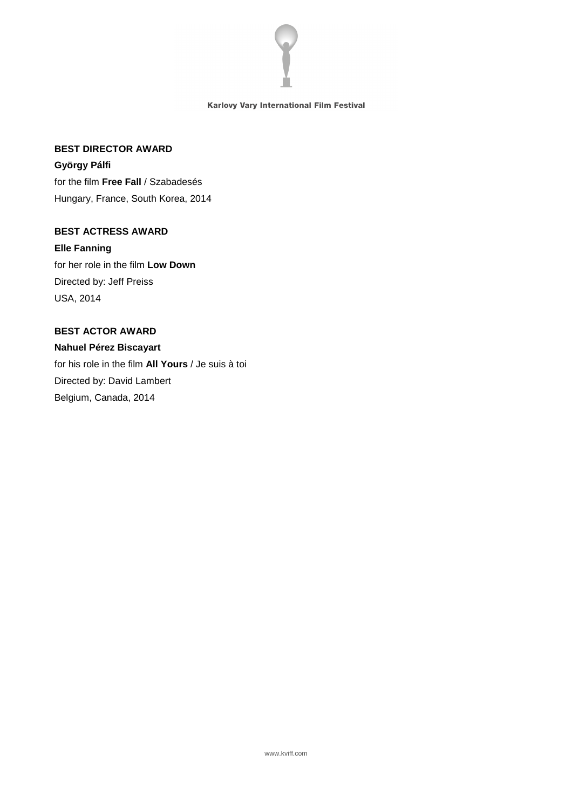

#### **BEST DIRECTOR AWARD**

**György Pálfi**  for the film **Free Fall** / Szabadesés Hungary, France, South Korea, 2014

### **BEST ACTRESS AWARD**

**Elle Fanning**  for her role in the film **Low Down**  Directed by: Jeff Preiss USA, 2014

#### **BEST ACTOR AWARD**

**Nahuel Pérez Biscayart**  for his role in the film **All Yours** / Je suis à toi Directed by: David Lambert Belgium, Canada, 2014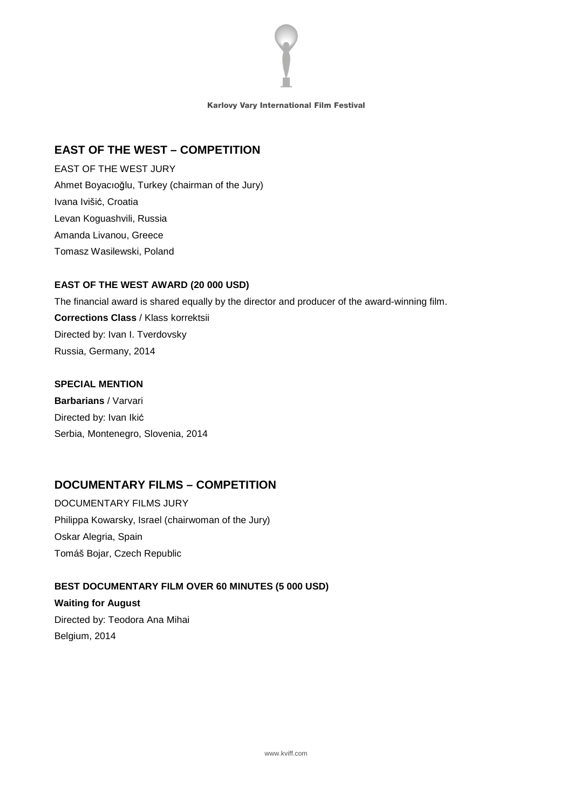

#### **EAST OF THE WEST – COMPETITION**

EAST OF THE WEST JURY Ahmet Boyacıoğlu, Turkey (chairman of the Jury) Ivana Ivišić, Croatia Levan Koguashvili, Russia Amanda Livanou, Greece Tomasz Wasilewski, Poland

#### **EAST OF THE WEST AWARD (20 000 USD)**

The financial award is shared equally by the director and producer of the award-winning film. **Corrections Class** / Klass korrektsii Directed by: Ivan I. Tverdovsky Russia, Germany, 2014

#### **SPECIAL MENTION**

**Barbarians** / Varvari Directed by: Ivan Ikić Serbia, Montenegro, Slovenia, 2014

# **DOCUMENTARY FILMS – COMPETITION**

DOCUMENTARY FILMS JURY Philippa Kowarsky, Israel (chairwoman of the Jury) Oskar Alegria, Spain Tomáš Bojar, Czech Republic

#### **BEST DOCUMENTARY FILM OVER 60 MINUTES (5 000 USD)**

**Waiting for August**  Directed by: Teodora Ana Mihai Belgium, 2014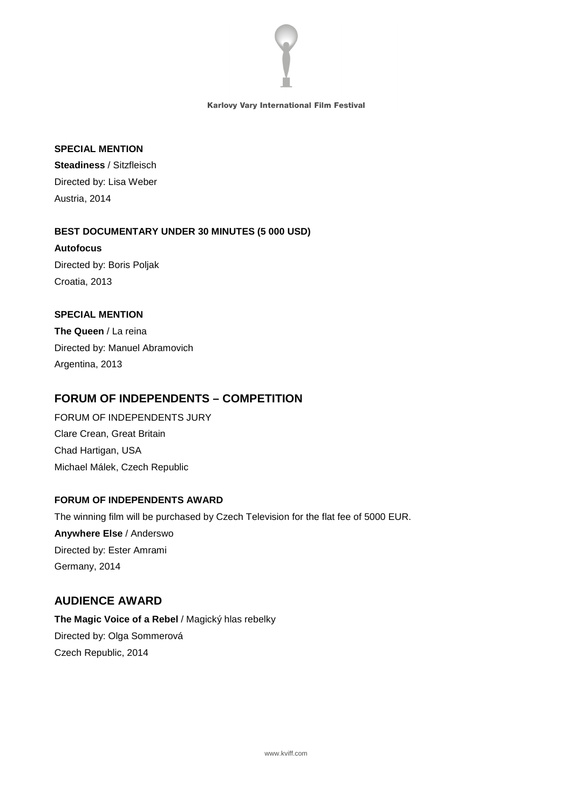

#### **SPECIAL MENTION**

**Steadiness** / Sitzfleisch Directed by: Lisa Weber Austria, 2014

**BEST DOCUMENTARY UNDER 30 MINUTES (5 000 USD) Autofocus**  Directed by: Boris Poljak Croatia, 2013

#### **SPECIAL MENTION**

**The Queen** / La reina Directed by: Manuel Abramovich Argentina, 2013

# **FORUM OF INDEPENDENTS – COMPETITION**

FORUM OF INDEPENDENTS JURY Clare Crean, Great Britain Chad Hartigan, USA Michael Málek, Czech Republic

## **FORUM OF INDEPENDENTS AWARD**

The winning film will be purchased by Czech Television for the flat fee of 5000 EUR. **Anywhere Else** / Anderswo Directed by: Ester Amrami Germany, 2014

## **AUDIENCE AWARD**

**The Magic Voice of a Rebel** / Magický hlas rebelky Directed by: Olga Sommerová Czech Republic, 2014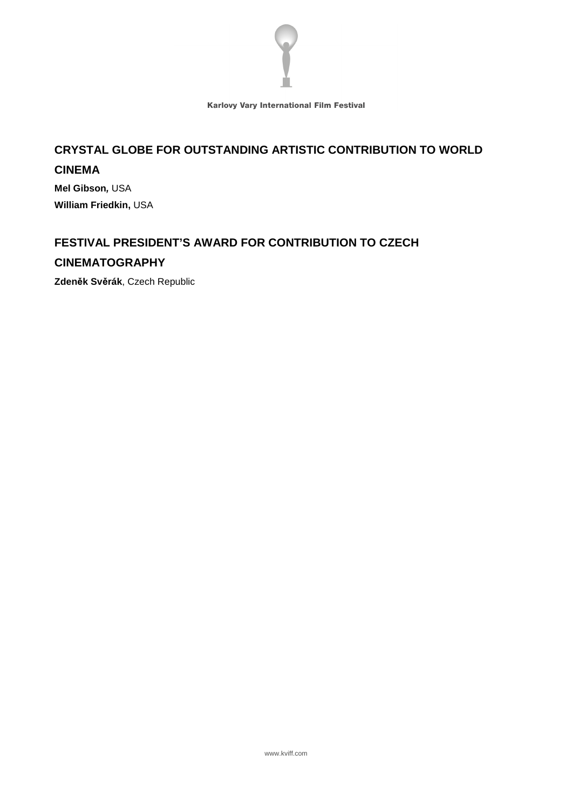

# **CRYSTAL GLOBE FOR OUTSTANDING ARTISTIC CONTRIBUTION TO WORLD CINEMA**

**Mel Gibson,** USA **William Friedkin,** USA

# **FESTIVAL PRESIDENT'S AWARD FOR CONTRIBUTION TO CZECH**

#### **CINEMATOGRAPHY**

**Zden**ě**k Sv**ě**rák**, Czech Republic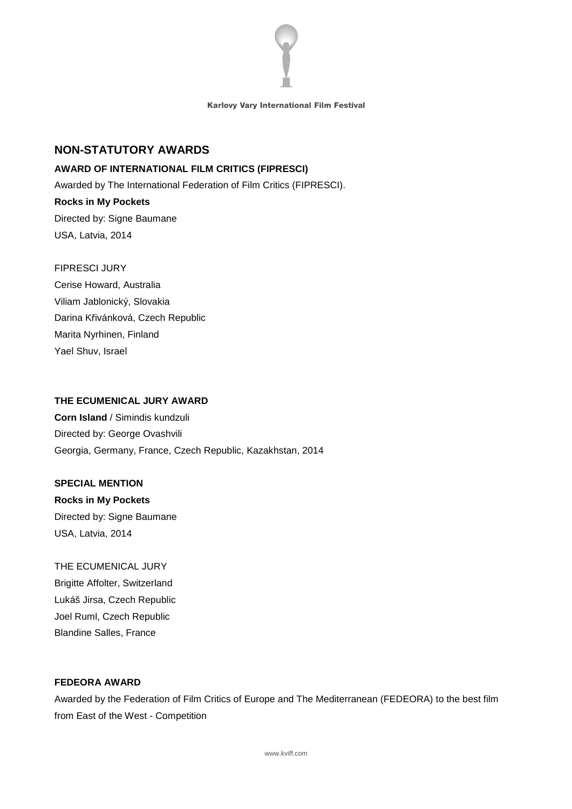

#### **NON-STATUTORY AWARDS**

#### **AWARD OF INTERNATIONAL FILM CRITICS (FIPRESCI)**

Awarded by The International Federation of Film Critics (FIPRESCI).

# **Rocks in My Pockets**  Directed by: Signe Baumane USA, Latvia, 2014

#### FIPRESCI JURY

Cerise Howard, Australia Viliam Jablonický, Slovakia Darina Křivánková, Czech Republic Marita Nyrhinen, Finland Yael Shuv, Israel

#### **THE ECUMENICAL JURY AWARD**

**Corn Island** / Simindis kundzuli Directed by: George Ovashvili Georgia, Germany, France, Czech Republic, Kazakhstan, 2014

#### **SPECIAL MENTION**

**Rocks in My Pockets**  Directed by: Signe Baumane USA, Latvia, 2014

# THE ECUMENICAL JURY Brigitte Affolter, Switzerland Lukáš Jirsa, Czech Republic Joel Ruml, Czech Republic Blandine Salles, France

#### **FEDEORA AWARD**

Awarded by the Federation of Film Critics of Europe and The Mediterranean (FEDEORA) to the best film from East of the West - Competition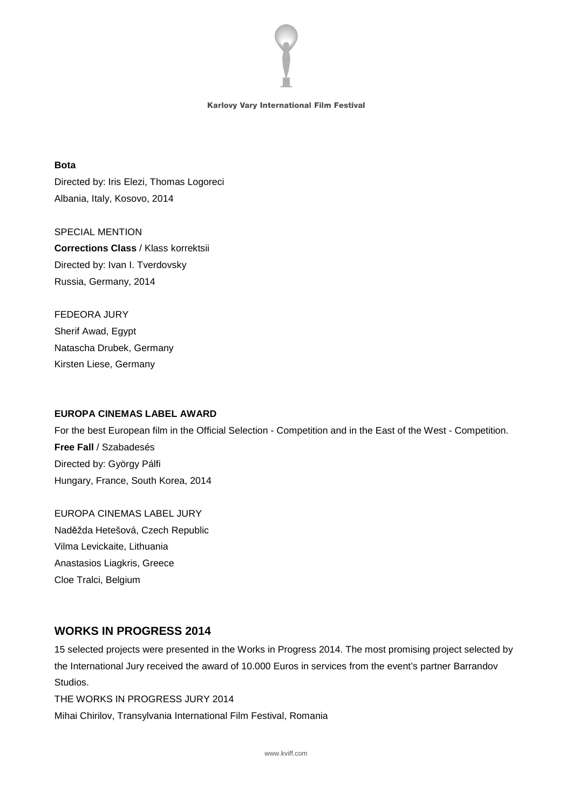

#### **Bota**

Directed by: Iris Elezi, Thomas Logoreci Albania, Italy, Kosovo, 2014

SPECIAL MENTION **Corrections Class** / Klass korrektsii Directed by: Ivan I. Tverdovsky Russia, Germany, 2014

FEDEORA JURY Sherif Awad, Egypt Natascha Drubek, Germany Kirsten Liese, Germany

#### **EUROPA CINEMAS LABEL AWARD**

For the best European film in the Official Selection - Competition and in the East of the West - Competition. **Free Fall** / Szabadesés Directed by: György Pálfi Hungary, France, South Korea, 2014

EUROPA CINEMAS LABEL JURY Naděžda Hetešová, Czech Republic Vilma Levickaite, Lithuania Anastasios Liagkris, Greece Cloe Tralci, Belgium

## **WORKS IN PROGRESS 2014**

15 selected projects were presented in the Works in Progress 2014. The most promising project selected by the International Jury received the award of 10.000 Euros in services from the event's partner Barrandov Studios.

THE WORKS IN PROGRESS JURY 2014 Mihai Chirilov, Transylvania International Film Festival, Romania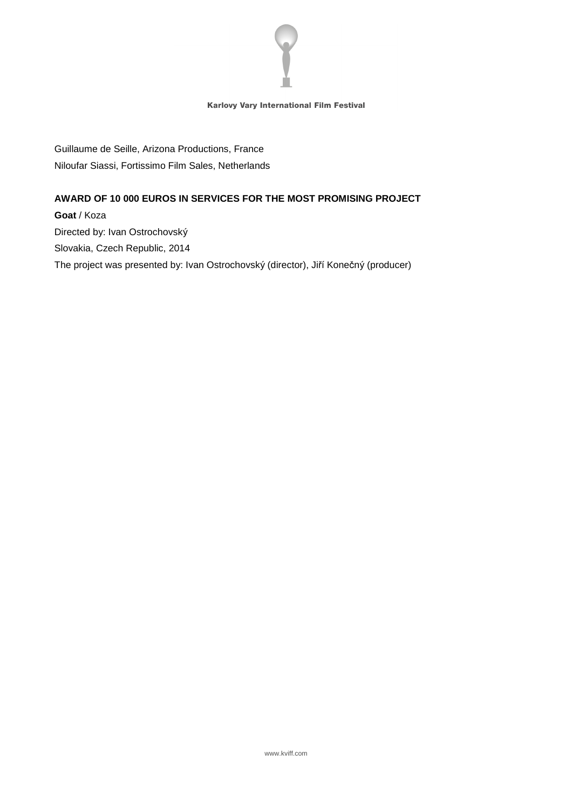

Guillaume de Seille, Arizona Productions, France Niloufar Siassi, Fortissimo Film Sales, Netherlands

#### **AWARD OF 10 000 EUROS IN SERVICES FOR THE MOST PROMISING PROJECT**

**Goat** / Koza Directed by: Ivan Ostrochovský Slovakia, Czech Republic, 2014 The project was presented by: Ivan Ostrochovský (director), Jiří Konečný (producer)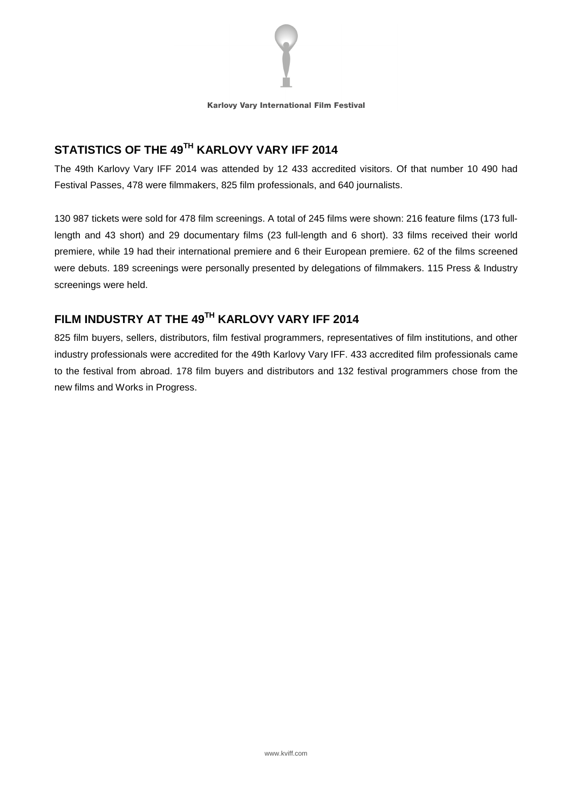

# **STATISTICS OF THE 49TH KARLOVY VARY IFF 2014**

The 49th Karlovy Vary IFF 2014 was attended by 12 433 accredited visitors. Of that number 10 490 had Festival Passes, 478 were filmmakers, 825 film professionals, and 640 journalists.

130 987 tickets were sold for 478 film screenings. A total of 245 films were shown: 216 feature films (173 fulllength and 43 short) and 29 documentary films (23 full-length and 6 short). 33 films received their world premiere, while 19 had their international premiere and 6 their European premiere. 62 of the films screened were debuts. 189 screenings were personally presented by delegations of filmmakers. 115 Press & Industry screenings were held.

# **FILM INDUSTRY AT THE 49TH KARLOVY VARY IFF 2014**

825 film buyers, sellers, distributors, film festival programmers, representatives of film institutions, and other industry professionals were accredited for the 49th Karlovy Vary IFF. 433 accredited film professionals came to the festival from abroad. 178 film buyers and distributors and 132 festival programmers chose from the new films and Works in Progress.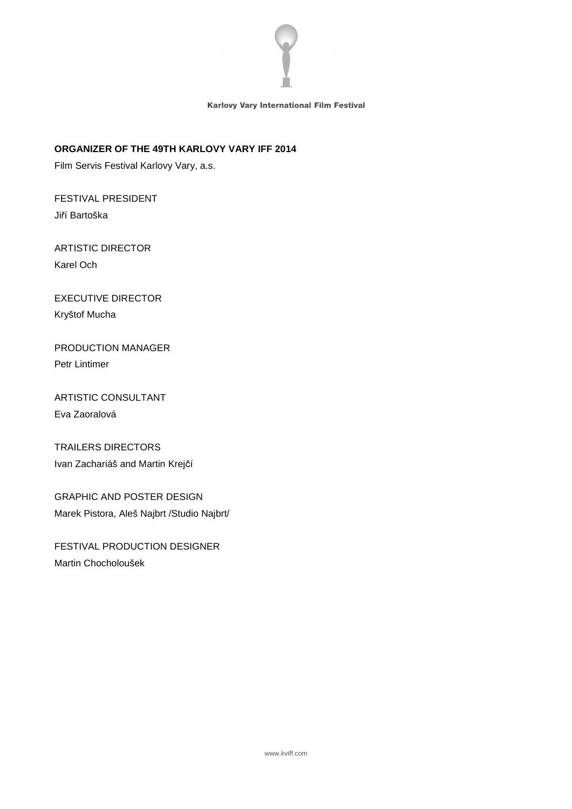

#### **ORGANIZER OF THE 49TH KARLOVY VARY IFF 2014**

Film Servis Festival Karlovy Vary, a.s.

FESTIVAL PRESIDENT Jiří Bartoška

# ARTISTIC DIRECTOR Karel Och

# EXECUTIVE DIRECTOR Kryštof Mucha

# PRODUCTION MANAGER Petr Lintimer

# ARTISTIC CONSULTANT Eva Zaoralová

# TRAILERS DIRECTORS Ivan Zachariáš and Martin Krejčí

# GRAPHIC AND POSTER DESIGN Marek Pistora, Aleš Najbrt /Studio Najbrt/

# FESTIVAL PRODUCTION DESIGNER Martin Chocholoušek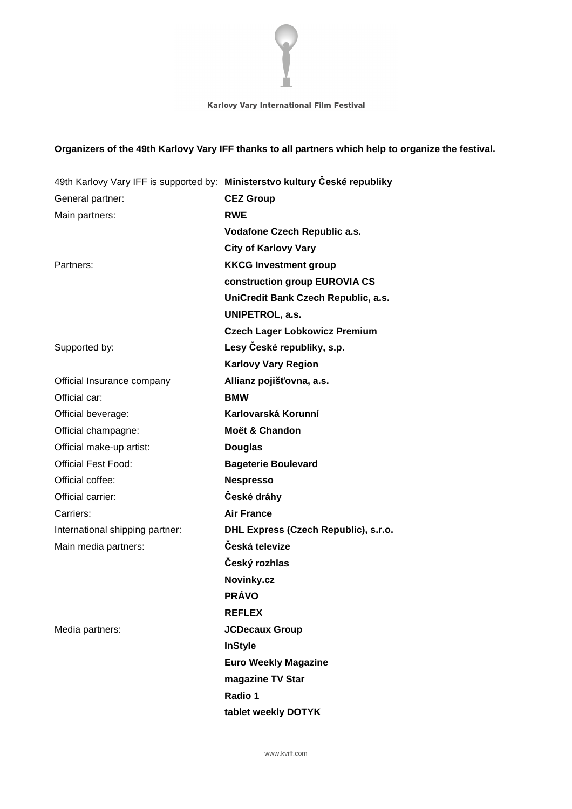

# **Organizers of the 49th Karlovy Vary IFF thanks to all partners which help to organize the festival.**

|                                 | 49th Karlovy Vary IFF is supported by: Ministerstvo kultury České republiky |
|---------------------------------|-----------------------------------------------------------------------------|
| General partner:                | <b>CEZ Group</b>                                                            |
| Main partners:                  | <b>RWE</b>                                                                  |
|                                 | Vodafone Czech Republic a.s.                                                |
|                                 | <b>City of Karlovy Vary</b>                                                 |
| Partners:                       | <b>KKCG Investment group</b>                                                |
|                                 | construction group EUROVIA CS                                               |
|                                 | UniCredit Bank Czech Republic, a.s.                                         |
|                                 | UNIPETROL, a.s.                                                             |
|                                 | <b>Czech Lager Lobkowicz Premium</b>                                        |
| Supported by:                   | Lesy České republiky, s.p.                                                  |
|                                 | <b>Karlovy Vary Region</b>                                                  |
| Official Insurance company      | Allianz pojišťovna, a.s.                                                    |
| Official car:                   | <b>BMW</b>                                                                  |
| Official beverage:              | Karlovarská Korunní                                                         |
| Official champagne:             | Moët & Chandon                                                              |
| Official make-up artist:        | <b>Douglas</b>                                                              |
| <b>Official Fest Food:</b>      | <b>Bageterie Boulevard</b>                                                  |
| Official coffee:                | <b>Nespresso</b>                                                            |
| Official carrier:               | České dráhy                                                                 |
| Carriers:                       | <b>Air France</b>                                                           |
| International shipping partner: | DHL Express (Czech Republic), s.r.o.                                        |
| Main media partners:            | Česká televize                                                              |
|                                 | Český rozhlas                                                               |
|                                 | Novinky.cz                                                                  |
|                                 | <b>PRÁVO</b>                                                                |
|                                 | <b>REFLEX</b>                                                               |
| Media partners:                 | <b>JCDecaux Group</b>                                                       |
|                                 | <b>InStyle</b>                                                              |
|                                 | <b>Euro Weekly Magazine</b>                                                 |
|                                 | magazine TV Star                                                            |
|                                 | Radio 1                                                                     |
|                                 | tablet weekly DOTYK                                                         |